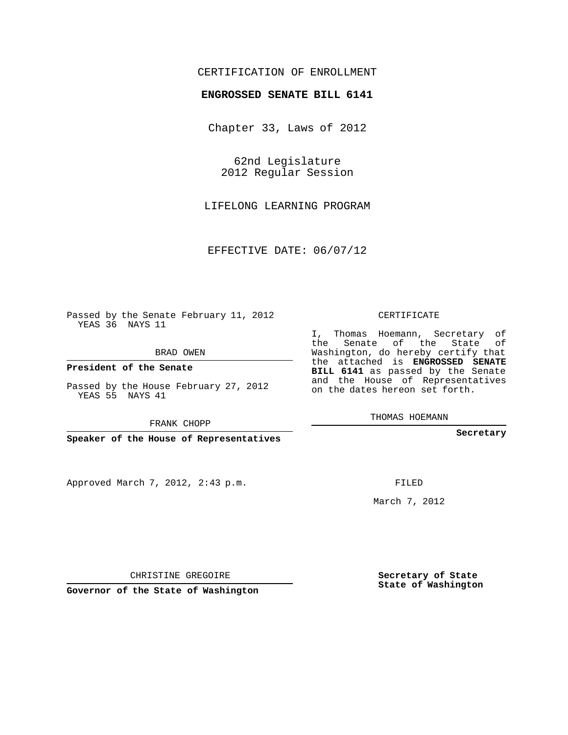## CERTIFICATION OF ENROLLMENT

## **ENGROSSED SENATE BILL 6141**

Chapter 33, Laws of 2012

62nd Legislature 2012 Regular Session

LIFELONG LEARNING PROGRAM

EFFECTIVE DATE: 06/07/12

Passed by the Senate February 11, 2012 YEAS 36 NAYS 11

BRAD OWEN

**President of the Senate**

Passed by the House February 27, 2012 YEAS 55 NAYS 41

FRANK CHOPP

**Speaker of the House of Representatives**

Approved March 7, 2012, 2:43 p.m.

CERTIFICATE

I, Thomas Hoemann, Secretary of the Senate of the State of Washington, do hereby certify that the attached is **ENGROSSED SENATE BILL 6141** as passed by the Senate and the House of Representatives on the dates hereon set forth.

THOMAS HOEMANN

**Secretary**

FILED

March 7, 2012

**Secretary of State State of Washington**

CHRISTINE GREGOIRE

**Governor of the State of Washington**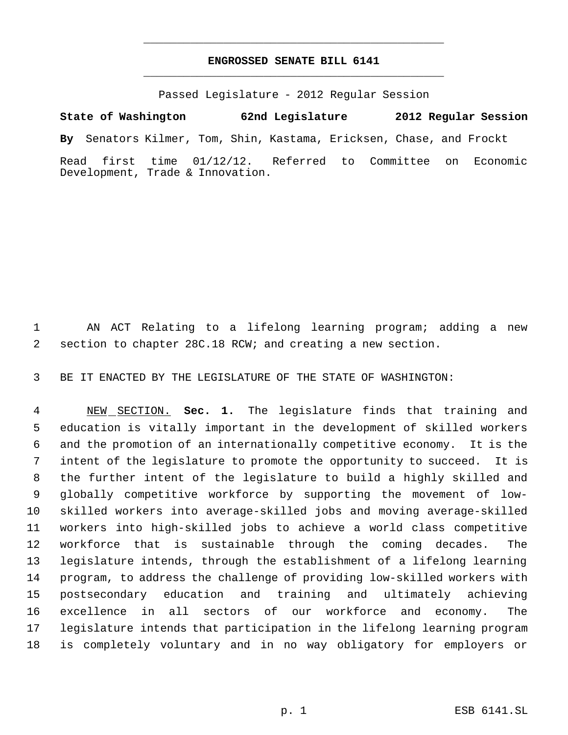## **ENGROSSED SENATE BILL 6141** \_\_\_\_\_\_\_\_\_\_\_\_\_\_\_\_\_\_\_\_\_\_\_\_\_\_\_\_\_\_\_\_\_\_\_\_\_\_\_\_\_\_\_\_\_

\_\_\_\_\_\_\_\_\_\_\_\_\_\_\_\_\_\_\_\_\_\_\_\_\_\_\_\_\_\_\_\_\_\_\_\_\_\_\_\_\_\_\_\_\_

Passed Legislature - 2012 Regular Session

**State of Washington 62nd Legislature 2012 Regular Session By** Senators Kilmer, Tom, Shin, Kastama, Ericksen, Chase, and Frockt Read first time 01/12/12. Referred to Committee on Economic Development, Trade & Innovation.

 AN ACT Relating to a lifelong learning program; adding a new section to chapter 28C.18 RCW; and creating a new section.

BE IT ENACTED BY THE LEGISLATURE OF THE STATE OF WASHINGTON:

 NEW SECTION. **Sec. 1.** The legislature finds that training and education is vitally important in the development of skilled workers and the promotion of an internationally competitive economy. It is the intent of the legislature to promote the opportunity to succeed. It is the further intent of the legislature to build a highly skilled and globally competitive workforce by supporting the movement of low- skilled workers into average-skilled jobs and moving average-skilled workers into high-skilled jobs to achieve a world class competitive workforce that is sustainable through the coming decades. The legislature intends, through the establishment of a lifelong learning program, to address the challenge of providing low-skilled workers with postsecondary education and training and ultimately achieving excellence in all sectors of our workforce and economy. The legislature intends that participation in the lifelong learning program is completely voluntary and in no way obligatory for employers or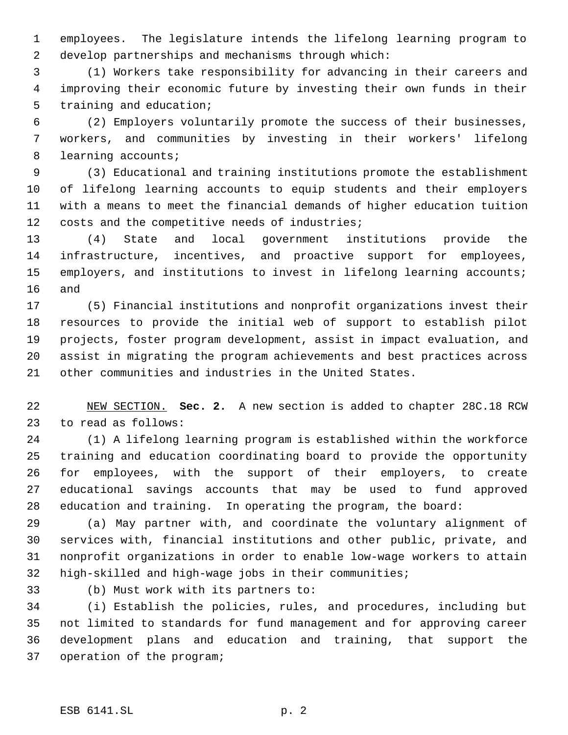employees. The legislature intends the lifelong learning program to develop partnerships and mechanisms through which:

 (1) Workers take responsibility for advancing in their careers and improving their economic future by investing their own funds in their training and education;

 (2) Employers voluntarily promote the success of their businesses, workers, and communities by investing in their workers' lifelong learning accounts;

 (3) Educational and training institutions promote the establishment of lifelong learning accounts to equip students and their employers with a means to meet the financial demands of higher education tuition 12 costs and the competitive needs of industries;

 (4) State and local government institutions provide the infrastructure, incentives, and proactive support for employees, employers, and institutions to invest in lifelong learning accounts; and

 (5) Financial institutions and nonprofit organizations invest their resources to provide the initial web of support to establish pilot projects, foster program development, assist in impact evaluation, and assist in migrating the program achievements and best practices across other communities and industries in the United States.

 NEW SECTION. **Sec. 2.** A new section is added to chapter 28C.18 RCW to read as follows:

 (1) A lifelong learning program is established within the workforce training and education coordinating board to provide the opportunity for employees, with the support of their employers, to create educational savings accounts that may be used to fund approved education and training. In operating the program, the board:

 (a) May partner with, and coordinate the voluntary alignment of services with, financial institutions and other public, private, and nonprofit organizations in order to enable low-wage workers to attain high-skilled and high-wage jobs in their communities;

(b) Must work with its partners to:

 (i) Establish the policies, rules, and procedures, including but not limited to standards for fund management and for approving career development plans and education and training, that support the operation of the program;